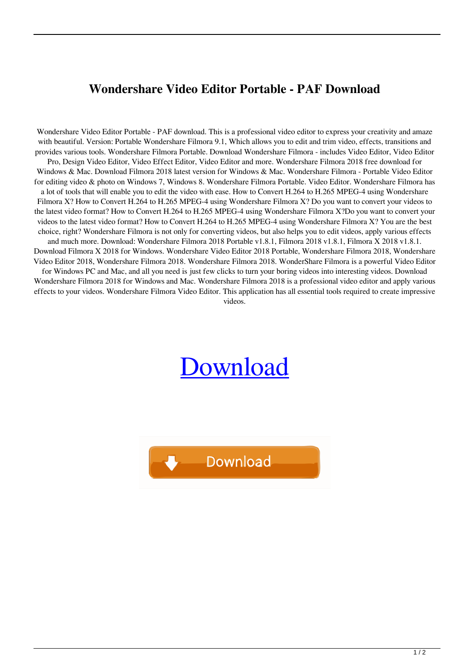## **Wondershare Video Editor Portable - PAF Download**

Wondershare Video Editor Portable - PAF download. This is a professional video editor to express your creativity and amaze with beautiful. Version: Portable Wondershare Filmora 9.1, Which allows you to edit and trim video, effects, transitions and provides various tools. Wondershare Filmora Portable. Download Wondershare Filmora - includes Video Editor, Video Editor Pro, Design Video Editor, Video Effect Editor, Video Editor and more. Wondershare Filmora 2018 free download for Windows & Mac. Download Filmora 2018 latest version for Windows & Mac. Wondershare Filmora - Portable Video Editor for editing video & photo on Windows 7, Windows 8. Wondershare Filmora Portable. Video Editor. Wondershare Filmora has a lot of tools that will enable you to edit the video with ease. How to Convert H.264 to H.265 MPEG-4 using Wondershare Filmora X? How to Convert H.264 to H.265 MPEG-4 using Wondershare Filmora X? Do you want to convert your videos to the latest video format? How to Convert H.264 to H.265 MPEG-4 using Wondershare Filmora X?Do you want to convert your videos to the latest video format? How to Convert H.264 to H.265 MPEG-4 using Wondershare Filmora X? You are the best choice, right? Wondershare Filmora is not only for converting videos, but also helps you to edit videos, apply various effects and much more. Download: Wondershare Filmora 2018 Portable v1.8.1, Filmora 2018 v1.8.1, Filmora X 2018 v1.8.1. Download Filmora X 2018 for Windows. Wondershare Video Editor 2018 Portable, Wondershare Filmora 2018, Wondershare Video Editor 2018, Wondershare Filmora 2018. Wondershare Filmora 2018. WonderShare Filmora is a powerful Video Editor for Windows PC and Mac, and all you need is just few clicks to turn your boring videos into interesting videos. Download Wondershare Filmora 2018 for Windows and Mac. Wondershare Filmora 2018 is a professional video editor and apply various effects to your videos. Wondershare Filmora Video Editor. This application has all essential tools required to create impressive videos.